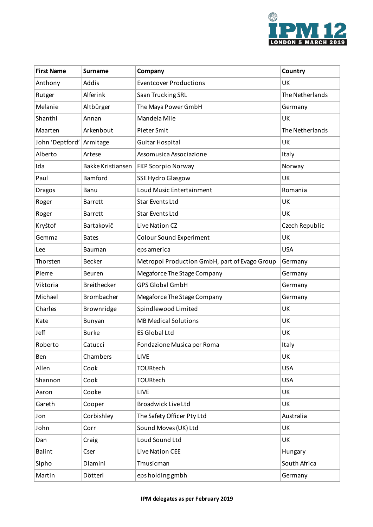

| <b>First Name</b> | <b>Surname</b>           | Company                                       | Country         |
|-------------------|--------------------------|-----------------------------------------------|-----------------|
| Anthony           | Addis                    | <b>Eventcover Productions</b>                 | UK              |
| Rutger            | Alferink                 | Saan Trucking SRL                             | The Netherlands |
| Melanie           | Altbürger                | The Maya Power GmbH                           | Germany         |
| Shanthi           | Annan                    | Mandela Mile                                  | UK              |
| Maarten           | Arkenbout                | Pieter Smit                                   | The Netherlands |
| John 'Deptford'   | Armitage                 | Guitar Hospital                               | UK              |
| Alberto           | Artese                   | Assomusica Associazione                       | Italy           |
| Ida               | <b>Bakke Kristiansen</b> | <b>FKP Scorpio Norway</b>                     | Norway          |
| Paul              | Bamford                  | <b>SSE Hydro Glasgow</b>                      | UK              |
| <b>Dragos</b>     | Banu                     | Loud Music Entertainment                      | Romania         |
| Roger             | <b>Barrett</b>           | Star Events Ltd                               | UK              |
| Roger             | <b>Barrett</b>           | <b>Star Events Ltd</b>                        | UK              |
| Kryštof           | Bartakovič               | Live Nation CZ                                | Czech Republic  |
| Gemma             | <b>Bates</b>             | <b>Colour Sound Experiment</b>                | UK              |
| Lee               | Bauman                   | eps america                                   | <b>USA</b>      |
| Thorsten          | <b>Becker</b>            | Metropol Production GmbH, part of Evago Group | Germany         |
| Pierre            | Beuren                   | Megaforce The Stage Company                   | Germany         |
| Viktoria          | Breithecker              | <b>GPS Global GmbH</b>                        | Germany         |
| Michael           | Brombacher               | Megaforce The Stage Company                   | Germany         |
| Charles           | Brownridge               | Spindlewood Limited                           | UK              |
| Kate              | Bunyan                   | <b>MB Medical Solutions</b>                   | UK              |
| Jeff              | <b>Burke</b>             | <b>ES Global Ltd</b>                          | UK              |
| Roberto           | Catucci                  | Fondazione Musica per Roma                    | Italy           |
| Ben               | Chambers                 | LIVE                                          | UK              |
| Allen             | Cook                     | TOURtech                                      | <b>USA</b>      |
| Shannon           | Cook                     | TOURtech                                      | <b>USA</b>      |
| Aaron             | Cooke                    | LIVE                                          | UK              |
| Gareth            | Cooper                   | <b>Broadwick Live Ltd</b>                     | UK              |
| Jon               | Corbishley               | The Safety Officer Pty Ltd                    | Australia       |
| John              | Corr                     | Sound Moves (UK) Ltd                          | UK              |
| Dan               | Craig                    | Loud Sound Ltd                                | UK              |
| <b>Balint</b>     | Cser                     | <b>Live Nation CEE</b>                        | Hungary         |
| Sipho             | Dlamini                  | Tmusicman                                     | South Africa    |
| Martin            | Dötterl                  | eps holding gmbh                              | Germany         |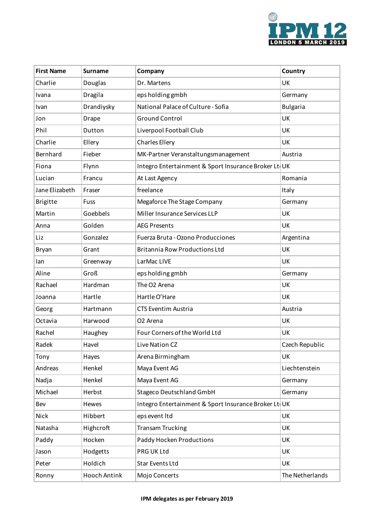

| <b>First Name</b> | Surname      | Company                                              | Country         |
|-------------------|--------------|------------------------------------------------------|-----------------|
| Charlie           | Douglas      | Dr. Martens                                          | UK              |
| Ivana             | Dragila      | eps holding gmbh                                     | Germany         |
| Ivan              | Drandiysky   | National Palace of Culture - Sofia                   | <b>Bulgaria</b> |
| Jon               | <b>Drape</b> | <b>Ground Control</b>                                | UK              |
| Phil              | Dutton       | Liverpool Football Club                              | UK              |
| Charlie           | Ellery       | <b>Charles Ellery</b>                                | UK              |
| Bernhard          | Fieber       | MK-Partner Veranstaltungsmanagement                  | Austria         |
| Fiona             | Flynn        | Integro Entertainment & Sport Insurance Broker Lt UK |                 |
| Lucian            | Francu       | At Last Agency                                       | Romania         |
| Jane Elizabeth    | Fraser       | freelance                                            | Italy           |
| <b>Brigitte</b>   | Fuss         | Megaforce The Stage Company                          | Germany         |
| Martin            | Goebbels     | Miller Insurance Services LLP                        | UK              |
| Anna              | Golden       | <b>AEG Presents</b>                                  | UK              |
| Liz               | Gonzalez     | Fuerza Bruta - Ozono Producciones                    | Argentina       |
| <b>Bryan</b>      | Grant        | <b>Britannia Row Productions Ltd</b>                 | UK              |
| lan               | Greenway     | LarMac LIVE                                          | UK              |
| Aline             | Groß         | eps holding gmbh                                     | Germany         |
| Rachael           | Hardman      | The O2 Arena                                         | UK              |
| Joanna            | Hartle       | Hartle O'Hare                                        | UK              |
| Georg             | Hartmann     | <b>CTS Eventim Austria</b>                           | Austria         |
| Octavia           | Harwood      | O <sub>2</sub> Arena                                 | UK              |
| Rachel            | Haughey      | Four Corners of the World Ltd                        | UK              |
| Radek             | Havel        | Live Nation CZ                                       | Czech Republic  |
| Tony              | Hayes        | Arena Birmingham                                     | UK              |
| Andreas           | Henkel       | Maya Event AG                                        | Liechtenstein   |
| Nadja             | Henkel       | Maya Event AG                                        | Germany         |
| Michael           | Herbst       | <b>Stageco Deutschland GmbH</b>                      | Germany         |
| Bev               | Hewes        | Integro Entertainment & Sport Insurance Broker Lt UK |                 |
| Nick              | Hibbert      | eps event Itd                                        | UK              |
| Natasha           | Highcroft    | <b>Transam Trucking</b>                              | UK              |
| Paddy             | Hocken       | Paddy Hocken Productions                             | UK              |
| Jason             | Hodgetts     | PRG UK Ltd                                           | UK              |
| Peter             | Holdich      | Star Events Ltd                                      | UK              |
| Ronny             | Hooch Antink | Mojo Concerts                                        | The Netherlands |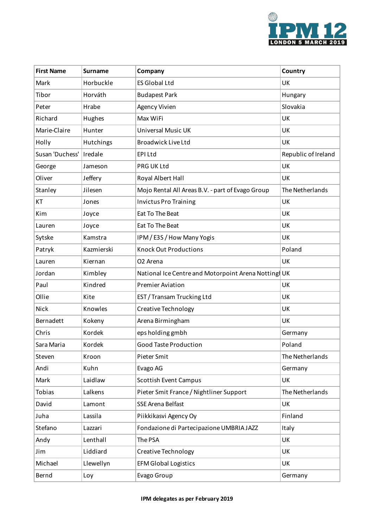

| <b>First Name</b> | <b>Surname</b> | Company                                             | Country             |
|-------------------|----------------|-----------------------------------------------------|---------------------|
| Mark              | Horbuckle      | <b>ES Global Ltd</b>                                | UK                  |
| Tibor             | Horváth        | <b>Budapest Park</b>                                | Hungary             |
| Peter             | Hrabe          | Agency Vivien                                       | Slovakia            |
| Richard           | Hughes         | Max WiFi                                            | UK                  |
| Marie-Claire      | Hunter         | Universal Music UK                                  | UK                  |
| Holly             | Hutchings      | <b>Broadwick Live Ltd</b>                           | UK                  |
| Susan 'Duchess'   | Iredale        | EPI Ltd                                             | Republic of Ireland |
| George            | Jameson        | PRG UK Ltd                                          | UK                  |
| Oliver            | Jeffery        | Royal Albert Hall                                   | UK                  |
| Stanley           | Jilesen        | Mojo Rental All Areas B.V. - part of Evago Group    | The Netherlands     |
| KT                | Jones          | <b>Invictus Pro Training</b>                        | UK                  |
| Kim               | Joyce          | Eat To The Beat                                     | UK                  |
| Lauren            | Joyce          | Eat To The Beat                                     | UK                  |
| Sytske            | Kamstra        | IPM / E3S / How Many Yogis                          | UK                  |
| Patryk            | Kazmierski     | <b>Knock Out Productions</b>                        | Poland              |
| Lauren            | Kiernan        | O <sub>2</sub> Arena                                | UK                  |
| Jordan            | Kimbley        | National Ice Centre and Motorpoint Arena Notting UK |                     |
| Paul              | Kindred        | <b>Premier Aviation</b>                             | UK                  |
| Ollie             | Kite           | EST / Transam Trucking Ltd                          | UK                  |
| Nick              | Knowles        | <b>Creative Technology</b>                          | UK                  |
| Bernadett         | Kokeny         | Arena Birmingham                                    | UK                  |
| Chris             | Kordek         | eps holding gmbh                                    | Germany             |
| Sara Maria        | Kordek         | Good Taste Production                               | Poland              |
| Steven            | Kroon          | Pieter Smit                                         | The Netherlands     |
| Andi              | Kuhn           | Evago AG                                            | Germany             |
| Mark              | Laidlaw        | <b>Scottish Event Campus</b>                        | UK                  |
| Tobias            | Lalkens        | Pieter Smit France / Nightliner Support             | The Netherlands     |
| David             | Lamont         | SSE Arena Belfast                                   | UK                  |
| Juha              | Lassila        | Piikkikasvi Agency Oy                               | Finland             |
| Stefano           | Lazzari        | Fondazione di Partecipazione UMBRIA JAZZ            | Italy               |
| Andy              | Lenthall       | The PSA                                             | UK                  |
| Jim               | Liddiard       | <b>Creative Technology</b>                          | UK                  |
| Michael           | Llewellyn      | <b>EFM Global Logistics</b>                         | UK                  |
| Bernd             | Loy            | Evago Group                                         | Germany             |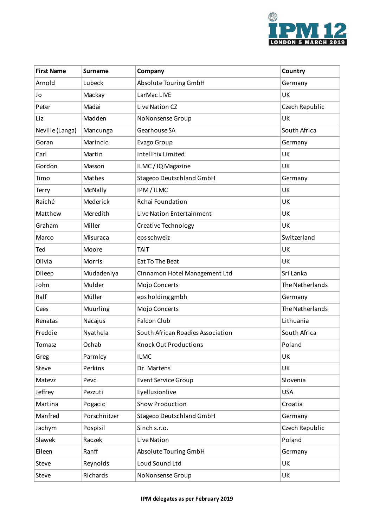

| <b>First Name</b> | <b>Surname</b> | Company                           | Country         |
|-------------------|----------------|-----------------------------------|-----------------|
| Arnold            | Lubeck         | Absolute Touring GmbH             | Germany         |
| Jo                | Mackay         | LarMac LIVE                       | UK              |
| Peter             | Madai          | Live Nation CZ                    | Czech Republic  |
| Liz               | Madden         | NoNonsense Group                  | UK              |
| Neville (Langa)   | Mancunga       | Gearhouse SA                      | South Africa    |
| Goran             | Marincic       | Evago Group                       | Germany         |
| Carl              | Martin         | <b>Intellitix Limited</b>         | UK              |
| Gordon            | Masson         | ILMC / IQ Magazine                | UK              |
| Timo              | Mathes         | <b>Stageco Deutschland GmbH</b>   | Germany         |
| Terry             | McNally        | IPM/ILMC                          | UK              |
| Raiché            | Mederick       | Rchai Foundation                  | UK              |
| Matthew           | Meredith       | Live Nation Entertainment         | UK              |
| Graham            | Miller         | Creative Technology               | UK              |
| Marco             | Misuraca       | eps schweiz                       | Switzerland     |
| Ted               | Moore          | TAIT                              | UK              |
| Olivia            | Morris         | Eat To The Beat                   | UK              |
| Dileep            | Mudadeniya     | Cinnamon Hotel Management Ltd     | Sri Lanka       |
| John              | Mulder         | Mojo Concerts                     | The Netherlands |
| Ralf              | Müller         | eps holding gmbh                  | Germany         |
| Cees              | Muurling       | Mojo Concerts                     | The Netherlands |
| Renatas           | Nacajus        | <b>Falcon Club</b>                | Lithuania       |
| Freddie           | Nyathela       | South African Roadies Association | South Africa    |
| Tomasz            | Ochab          | <b>Knock Out Productions</b>      | Poland          |
| Greg              | Parmley        | <b>ILMC</b>                       | UK              |
| Steve             | Perkins        | Dr. Martens                       | UK              |
| Matevz            | Pevc           | <b>Event Service Group</b>        | Slovenia        |
| Jeffrey           | Pezzuti        | Eyellusionlive                    | <b>USA</b>      |
| Martina           | Pogacic        | <b>Show Production</b>            | Croatia         |
| Manfred           | Porschnitzer   | <b>Stageco Deutschland GmbH</b>   | Germany         |
| Jachym            | Pospisil       | Sinch s.r.o.                      | Czech Republic  |
| Slawek            | Raczek         | Live Nation                       | Poland          |
| Eileen            | Ranff          | Absolute Touring GmbH             | Germany         |
| Steve             | Reynolds       | Loud Sound Ltd                    | UK              |
| Steve             | Richards       | NoNonsense Group                  | UK              |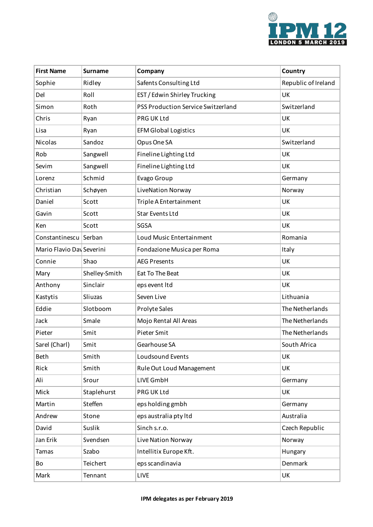

| <b>First Name</b>         | <b>Surname</b> | Company                            | Country             |
|---------------------------|----------------|------------------------------------|---------------------|
| Sophie                    | Ridley         | Safents Consulting Ltd             | Republic of Ireland |
| Del                       | Roll           | EST / Edwin Shirley Trucking       | UK                  |
| Simon                     | Roth           | PSS Production Service Switzerland | Switzerland         |
| Chris                     | Ryan           | PRG UK Ltd                         | UK                  |
| Lisa                      | Ryan           | <b>EFM Global Logistics</b>        | UK                  |
| Nicolas                   | Sandoz         | Opus One SA                        | Switzerland         |
| Rob                       | Sangwell       | Fineline Lighting Ltd              | UK                  |
| Sevim                     | Sangwell       | Fineline Lighting Ltd              | UK                  |
| Lorenz                    | Schmid         | Evago Group                        | Germany             |
| Christian                 | Schøyen        | LiveNation Norway                  | Norway              |
| Daniel                    | Scott          | Triple A Entertainment             | UK                  |
| Gavin                     | Scott          | <b>Star Events Ltd</b>             | UK                  |
| Ken                       | Scott          | SGSA                               | UK                  |
| Constantinescu Serban     |                | Loud Music Entertainment           | Romania             |
| Mario Flavio Day Severini |                | Fondazione Musica per Roma         | Italy               |
| Connie                    | Shao           | <b>AEG Presents</b>                | UK                  |
| Mary                      | Shelley-Smith  | Eat To The Beat                    | UK                  |
| Anthony                   | Sinclair       | eps event Itd                      | UK                  |
| Kastytis                  | Sliuzas        | Seven Live                         | Lithuania           |
| Eddie                     | Slotboom       | Prolyte Sales                      | The Netherlands     |
| Jack                      | Smale          | Mojo Rental All Areas              | The Netherlands     |
| Pieter                    | Smit           | Pieter Smit                        | The Netherlands     |
| Sarel (Charl)             | Smit           | Gearhouse SA                       | South Africa        |
| Beth                      | Smith          | Loudsound Events                   | UK                  |
| Rick                      | Smith          | Rule Out Loud Management           | UK                  |
| Ali                       | Srour          | LIVE GmbH                          | Germany             |
| Mick                      | Staplehurst    | PRG UK Ltd                         | UK                  |
| Martin                    | Steffen        | eps holding gmbh                   | Germany             |
| Andrew                    | Stone          | eps australia pty ltd              | Australia           |
| David                     | Suslik         | Sinch s.r.o.                       | Czech Republic      |
| Jan Erik                  | Svendsen       | Live Nation Norway                 | Norway              |
| Tamas                     | Szabo          | Intellitix Europe Kft.             | Hungary             |
| Bo                        | Teichert       | eps scandinavia                    | Denmark             |
| Mark                      | Tennant        | LIVE                               | UK                  |